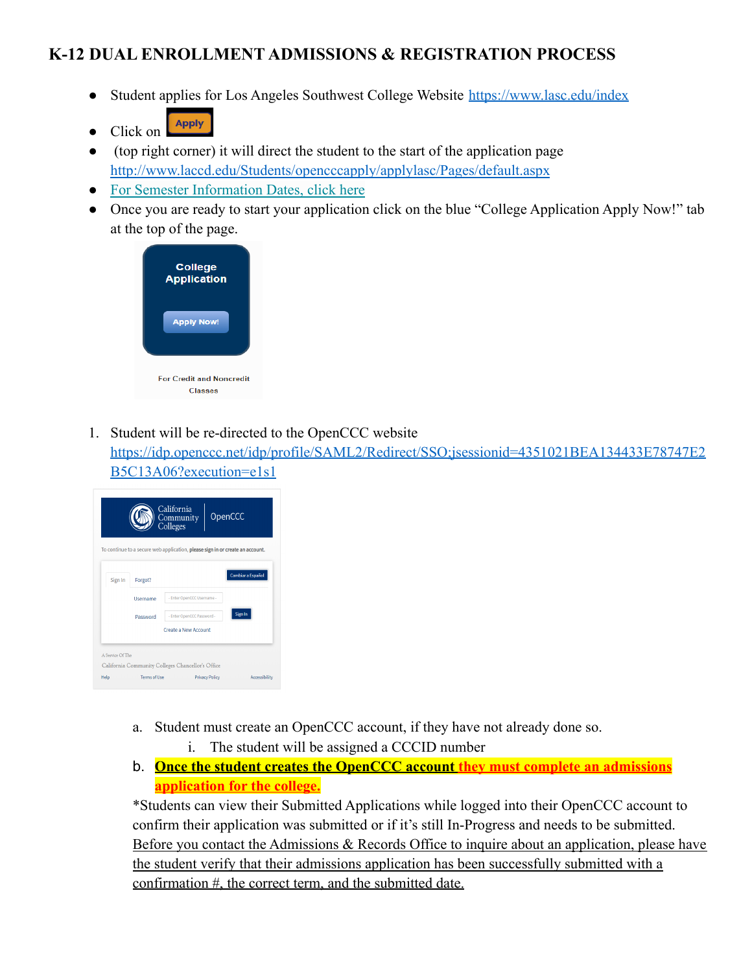## **K-12 DUAL ENROLLMENT ADMISSIONS & REGISTRATION PROCESS**

- Student applies for Los Angeles Southwest College Website <https://www.lasc.edu/index>
- **Apply** • Click on
- (top right corner) it will direct the student to the start of the application page <http://www.laccd.edu/Students/opencccapply/applylasc/Pages/default.aspx>
- [For Semester Information Dates, click here](http://www.laccd.edu/Students/Pages/SIS-FAQ.aspx)
- Once you are ready to start your application click on the blue "College Application Apply Now!" tab at the top of the page.



1. Student will be re-directed to the OpenCCC website

[https://idp.openccc.net/idp/profile/SAML2/Redirect/SSO;jsessionid=4351021BEA134433E78747E2](https://idp.openccc.net/idp/profile/SAML2/Redirect/SSO;jsessionid=4351021BEA134433E78747E2B5C13A06?execution=e1s1) [B5C13A06?execution=e1s1](https://idp.openccc.net/idp/profile/SAML2/Redirect/SSO;jsessionid=4351021BEA134433E78747E2B5C13A06?execution=e1s1)

|         |          |                            | To continue to a secure web application, please sign in or create an account. |
|---------|----------|----------------------------|-------------------------------------------------------------------------------|
| Sign In | Forgot?  |                            | <b>Cambiar a Español</b>                                                      |
|         | Username | - Enter OpenCCC Username - |                                                                               |
|         | Password | - Enter OpenCCC Password - | Sign In                                                                       |
|         |          | Create a New Account       |                                                                               |

- a. Student must create an OpenCCC account, if they have not already done so. i. The student will be assigned a CCCID number
- b. **Once the student creates the OpenCCC account they must complete an admissions application for the college.**

\*Students can view their Submitted Applications while logged into their OpenCCC account to confirm their application was submitted or if it's still In-Progress and needs to be submitted. Before you contact the Admissions & Records Office to inquire about an application, please have the student verify that their admissions application has been successfully submitted with a confirmation #, the correct term, and the submitted date.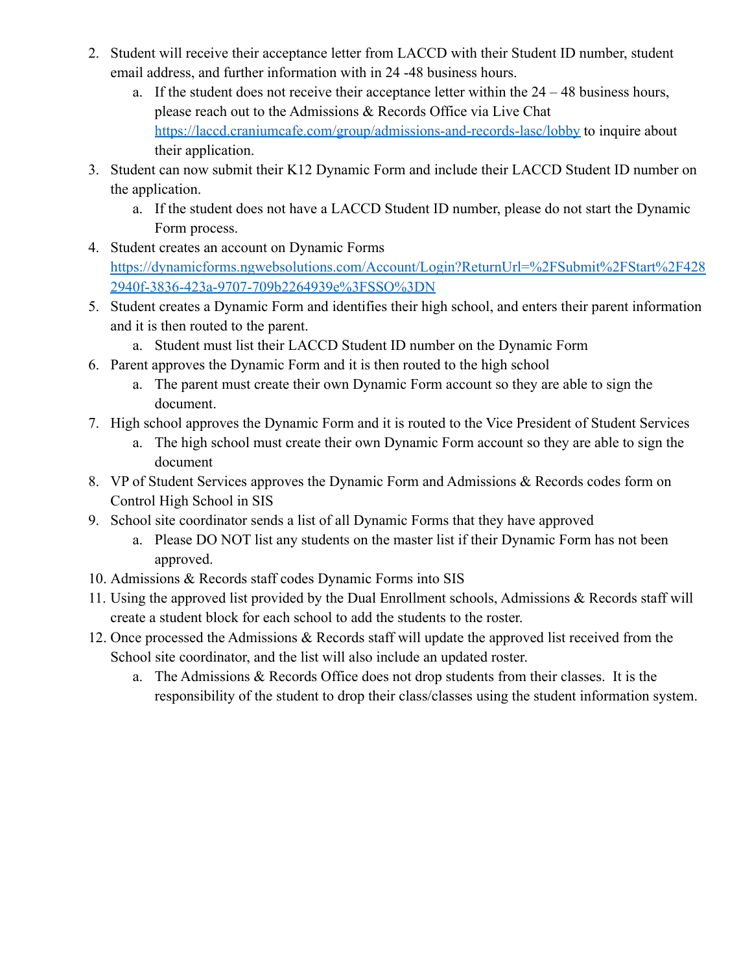- 2. Student will receive their acceptance letter from LACCD with their Student ID number, student email address, and further information with in 24 -48 business hours.
	- a. If the student does not receive their acceptance letter within the  $24 48$  business hours, please reach out to the Admissions & Records Office via Live Chat <https://laccd.craniumcafe.com/group/admissions-and-records-lasc/lobby> to inquire about their application.
- 3. Student can now submit their K12 Dynamic Form and include their LACCD Student ID number on the application.
	- a. If the student does not have a LACCD Student ID number, please do not start the Dynamic Form process.
- 4. Student creates an account on Dynamic Forms [https://dynamicforms.ngwebsolutions.com/Account/Login?ReturnUrl=%2FSubmit%2FStart%2F428](https://dynamicforms.ngwebsolutions.com/Account/Login?ReturnUrl=%2FSubmit%2FStart%2F4282940f-3836-423a-9707-709b2264939e%3FSSO%3DN) [2940f-3836-423a-9707-709b2264939e%3FSSO%3DN](https://dynamicforms.ngwebsolutions.com/Account/Login?ReturnUrl=%2FSubmit%2FStart%2F4282940f-3836-423a-9707-709b2264939e%3FSSO%3DN)
- 5. Student creates a Dynamic Form and identifies their high school, and enters their parent information and it is then routed to the parent.
	- a. Student must list their LACCD Student ID number on the Dynamic Form
- 6. Parent approves the Dynamic Form and it is then routed to the high school
	- a. The parent must create their own Dynamic Form account so they are able to sign the document.
- 7. High school approves the Dynamic Form and it is routed to the Vice President of Student Services
	- a. The high school must create their own Dynamic Form account so they are able to sign the document
- 8. VP of Student Services approves the Dynamic Form and Admissions & Records codes form on Control High School in SIS
- 9. School site coordinator sends a list of all Dynamic Forms that they have approved
	- a. Please DO NOT list any students on the master list if their Dynamic Form has not been approved.
- 10. Admissions & Records staff codes Dynamic Forms into SIS
- 11. Using the approved list provided by the Dual Enrollment schools, Admissions & Records staff will create a student block for each school to add the students to the roster.
- 12. Once processed the Admissions & Records staff will update the approved list received from the School site coordinator, and the list will also include an updated roster.
	- a. The Admissions & Records Office does not drop students from their classes. It is the responsibility of the student to drop their class/classes using the student information system.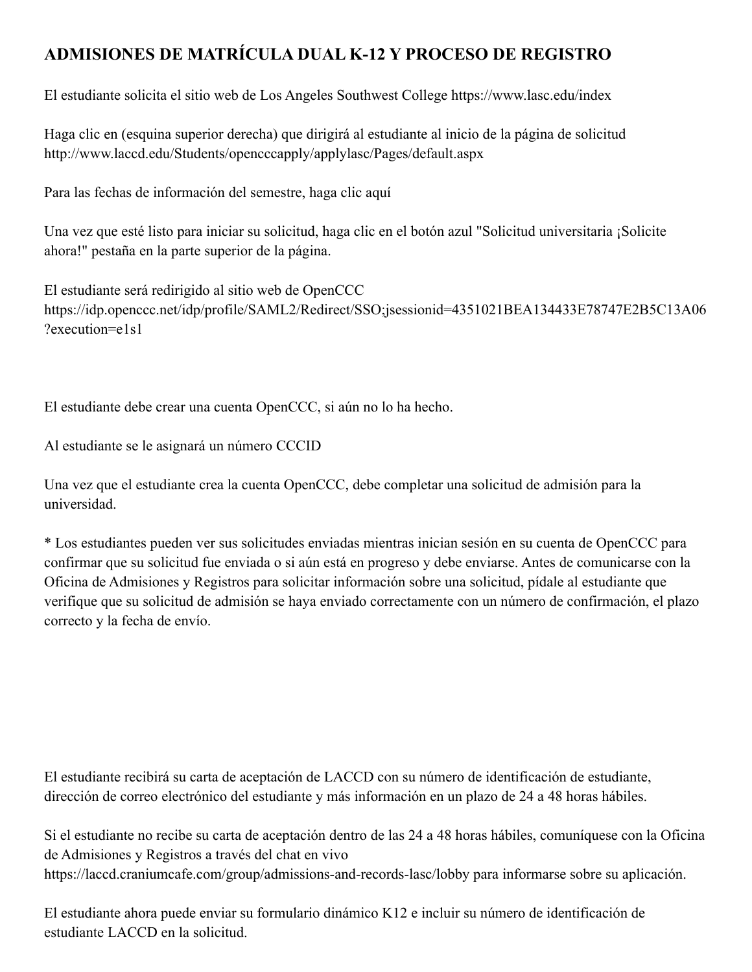## **ADMISIONES DE MATRÍCULA DUAL K-12 Y PROCESO DE REGISTRO**

El estudiante solicita el sitio web de Los Angeles Southwest College https://www.lasc.edu/index

Haga clic en (esquina superior derecha) que dirigirá al estudiante al inicio de la página de solicitud http://www.laccd.edu/Students/opencccapply/applylasc/Pages/default.aspx

Para las fechas de información del semestre, haga clic aquí

Una vez que esté listo para iniciar su solicitud, haga clic en el botón azul "Solicitud universitaria ¡Solicite ahora!" pestaña en la parte superior de la página.

El estudiante será redirigido al sitio web de OpenCCC https://idp.openccc.net/idp/profile/SAML2/Redirect/SSO;jsessionid=4351021BEA134433E78747E2B5C13A06 ?execution=e1s1

El estudiante debe crear una cuenta OpenCCC, si aún no lo ha hecho.

Al estudiante se le asignará un número CCCID

Una vez que el estudiante crea la cuenta OpenCCC, debe completar una solicitud de admisión para la universidad.

\* Los estudiantes pueden ver sus solicitudes enviadas mientras inician sesión en su cuenta de OpenCCC para confirmar que su solicitud fue enviada o si aún está en progreso y debe enviarse. Antes de comunicarse con la Oficina de Admisiones y Registros para solicitar información sobre una solicitud, pídale al estudiante que verifique que su solicitud de admisión se haya enviado correctamente con un número de confirmación, el plazo correcto y la fecha de envío.

El estudiante recibirá su carta de aceptación de LACCD con su número de identificación de estudiante, dirección de correo electrónico del estudiante y más información en un plazo de 24 a 48 horas hábiles.

Si el estudiante no recibe su carta de aceptación dentro de las 24 a 48 horas hábiles, comuníquese con la Oficina de Admisiones y Registros a través del chat en vivo https://laccd.craniumcafe.com/group/admissions-and-records-lasc/lobby para informarse sobre su aplicación.

El estudiante ahora puede enviar su formulario dinámico K12 e incluir su número de identificación de estudiante LACCD en la solicitud.